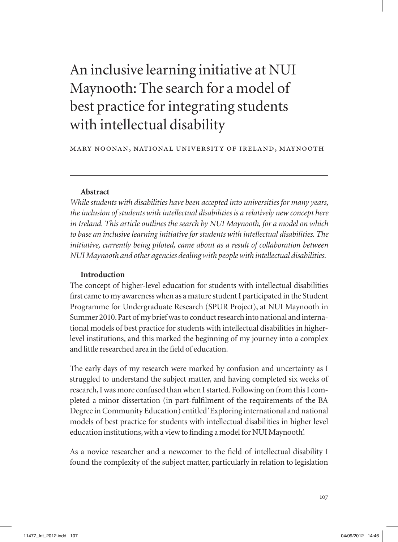# An inclusive learning initiative at NUI Maynooth: The search for a model of best practice for integrating students with intellectual disability

#### mary noonan, national university of ireland, maynooth

#### **Abstract**

*While students with disabilities have been accepted into universities for many years, the inclusion of students with intellectual disabilities is a relatively new concept here in Ireland. This article outlines the search by NUI Maynooth, for a model on which to base an inclusive learning initiative for students with intellectual disabilities. The initiative, currently being piloted, came about as a result of collaboration between NUI Maynooth and other agencies dealing with people with intellectual disabilities.* 

### **Introduction**

The concept of higher-level education for students with intellectual disabilities first came to my awareness when as a mature student I participated in the Student Programme for Undergraduate Research (SPUR Project), at NUI Maynooth in Summer 2010. Part of my brief was to conduct research into national and international models of best practice for students with intellectual disabilities in higherlevel institutions, and this marked the beginning of my journey into a complex and little researched area in the field of education.

The early days of my research were marked by confusion and uncertainty as I struggled to understand the subject matter, and having completed six weeks of research, I was more confused than when I started. Following on from this I completed a minor dissertation (in part-fulfilment of the requirements of the BA Degree in Community Education) entitled 'Exploring international and national models of best practice for students with intellectual disabilities in higher level education institutions, with a view to finding a model for NUI Maynooth'.

As a novice researcher and a newcomer to the field of intellectual disability I found the complexity of the subject matter, particularly in relation to legislation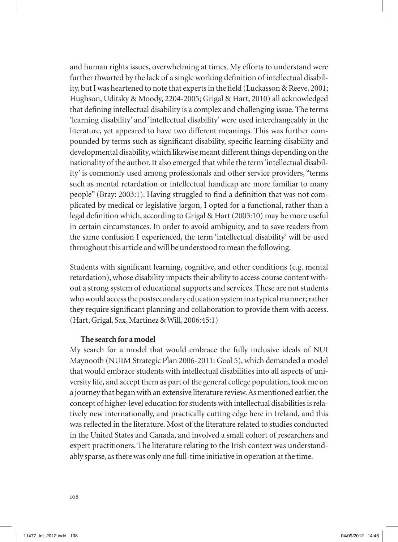and human rights issues, overwhelming at times. My efforts to understand were further thwarted by the lack of a single working definition of intellectual disability, but I was heartened to note that experts in the field (Luckasson & Reeve, 2001; Hughson, Uditsky & Moody, 2204-2005; Grigal & Hart, 2010) all acknowledged that defining intellectual disability is a complex and challenging issue. The terms 'learning disability' and 'intellectual disability' were used interchangeably in the literature, yet appeared to have two different meanings. This was further compounded by terms such as significant disability, specific learning disability and developmental disability, which likewise meant different things depending on the nationality of the author. It also emerged that while the term 'intellectual disability' is commonly used among professionals and other service providers, "terms such as mental retardation or intellectual handicap are more familiar to many people" (Bray: 2003:1). Having struggled to find a definition that was not complicated by medical or legislative jargon, I opted for a functional, rather than a legal definition which, according to Grigal & Hart (2003:10) may be more useful in certain circumstances. In order to avoid ambiguity, and to save readers from the same confusion I experienced, the term 'intellectual disability' will be used throughout this article and will be understood to mean the following.

Students with significant learning, cognitive, and other conditions (e.g. mental retardation), whose disability impacts their ability to access course content without a strong system of educational supports and services. These are not students who would access the postsecondary education system in a typical manner; rather they require significant planning and collaboration to provide them with access. (Hart, Grigal, Sax, Martinez & Will, 2006:45:1)

## **The search for a model**

My search for a model that would embrace the fully inclusive ideals of NUI Maynooth (NUIM Strategic Plan 2006-2011: Goal 5), which demanded a model that would embrace students with intellectual disabilities into all aspects of university life, and accept them as part of the general college population, took me on a journey that began with an extensive literature review. As mentioned earlier, the concept of higher-level education for students with intellectual disabilities is relatively new internationally, and practically cutting edge here in Ireland, and this was reflected in the literature. Most of the literature related to studies conducted in the United States and Canada, and involved a small cohort of researchers and expert practitioners. The literature relating to the Irish context was understandably sparse, as there was only one full-time initiative in operation at the time.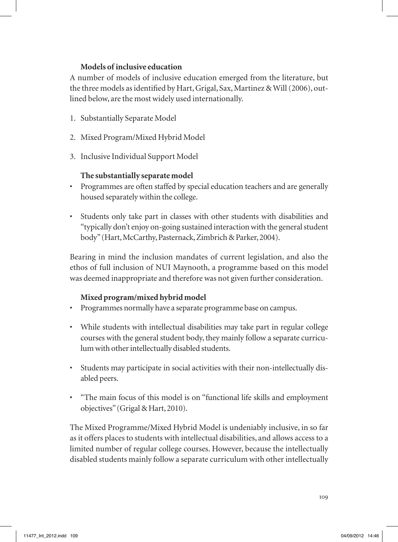# **Models of inclusive education**

A number of models of inclusive education emerged from the literature, but the three models as identified by Hart, Grigal, Sax, Martinez & Will (2006), outlined below, are the most widely used internationally.

- 1. Substantially Separate Model
- 2. Mixed Program/Mixed Hybrid Model
- 3. Inclusive Individual Support Model

# **The substantially separate model**

- Programmes are often staffed by special education teachers and are generally housed separately within the college.
- Students only take part in classes with other students with disabilities and "typically don't enjoy on-going sustained interaction with the general student body" (Hart, McCarthy, Pasternack, Zimbrich & Parker, 2004).

Bearing in mind the inclusion mandates of current legislation, and also the ethos of full inclusion of NUI Maynooth, a programme based on this model was deemed inappropriate and therefore was not given further consideration.

# **Mixed program/mixed hybrid model**

- Programmes normally have a separate programme base on campus.
- While students with intellectual disabilities may take part in regular college courses with the general student body, they mainly follow a separate curriculum with other intellectually disabled students.
- Students may participate in social activities with their non-intellectually disabled peers.
- "The main focus of this model is on "functional life skills and employment objectives" (Grigal & Hart, 2010).

The Mixed Programme/Mixed Hybrid Model is undeniably inclusive, in so far as it offers places to students with intellectual disabilities, and allows access to a limited number of regular college courses. However, because the intellectually disabled students mainly follow a separate curriculum with other intellectually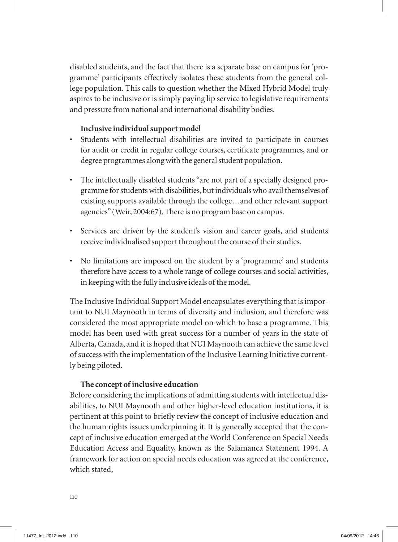disabled students, and the fact that there is a separate base on campus for 'programme' participants effectively isolates these students from the general college population. This calls to question whether the Mixed Hybrid Model truly aspires to be inclusive or is simply paying lip service to legislative requirements and pressure from national and international disability bodies.

## **Inclusive individual support model**

- Students with intellectual disabilities are invited to participate in courses for audit or credit in regular college courses, certificate programmes, and or degree programmes along with the general student population.
- The intellectually disabled students "are not part of a specially designed programme for students with disabilities, but individuals who avail themselves of existing supports available through the college…and other relevant support agencies" (Weir, 2004:67). There is no program base on campus.
- Services are driven by the student's vision and career goals, and students receive individualised support throughout the course of their studies.
- No limitations are imposed on the student by a 'programme' and students therefore have access to a whole range of college courses and social activities, in keeping with the fully inclusive ideals of the model.

The Inclusive Individual Support Model encapsulates everything that is important to NUI Maynooth in terms of diversity and inclusion, and therefore was considered the most appropriate model on which to base a programme. This model has been used with great success for a number of years in the state of Alberta, Canada, and it is hoped that NUI Maynooth can achieve the same level of success with the implementation of the Inclusive Learning Initiative currently being piloted.

## **The concept of inclusive education**

Before considering the implications of admitting students with intellectual disabilities, to NUI Maynooth and other higher-level education institutions, it is pertinent at this point to briefly review the concept of inclusive education and the human rights issues underpinning it. It is generally accepted that the concept of inclusive education emerged at the World Conference on Special Needs Education Access and Equality, known as the Salamanca Statement 1994. A framework for action on special needs education was agreed at the conference, which stated,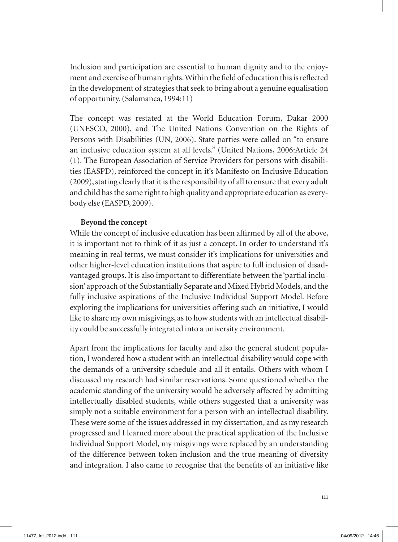Inclusion and participation are essential to human dignity and to the enjoyment and exercise of human rights. Within the field of education this is reflected in the development of strategies that seek to bring about a genuine equalisation of opportunity. (Salamanca, 1994:11)

The concept was restated at the World Education Forum, Dakar 2000 (UNESCO, 2000), and The United Nations Convention on the Rights of Persons with Disabilities (UN, 2006). State parties were called on "to ensure an inclusive education system at all levels." (United Nations, 2006:Article 24 (1). The European Association of Service Providers for persons with disabilities (EASPD), reinforced the concept in it's Manifesto on Inclusive Education (2009), stating clearly that it is the responsibility of all to ensure that every adult and child has the same right to high quality and appropriate education as everybody else (EASPD, 2009).

## **Beyond the concept**

While the concept of inclusive education has been affirmed by all of the above, it is important not to think of it as just a concept. In order to understand it's meaning in real terms, we must consider it's implications for universities and other higher-level education institutions that aspire to full inclusion of disadvantaged groups. It is also important to differentiate between the 'partial inclusion' approach of the Substantially Separate and Mixed Hybrid Models, and the fully inclusive aspirations of the Inclusive Individual Support Model. Before exploring the implications for universities offering such an initiative, I would like to share my own misgivings, as to how students with an intellectual disability could be successfully integrated into a university environment.

Apart from the implications for faculty and also the general student population, I wondered how a student with an intellectual disability would cope with the demands of a university schedule and all it entails. Others with whom I discussed my research had similar reservations. Some questioned whether the academic standing of the university would be adversely affected by admitting intellectually disabled students, while others suggested that a university was simply not a suitable environment for a person with an intellectual disability. These were some of the issues addressed in my dissertation, and as my research progressed and I learned more about the practical application of the Inclusive Individual Support Model, my misgivings were replaced by an understanding of the difference between token inclusion and the true meaning of diversity and integration. I also came to recognise that the benefits of an initiative like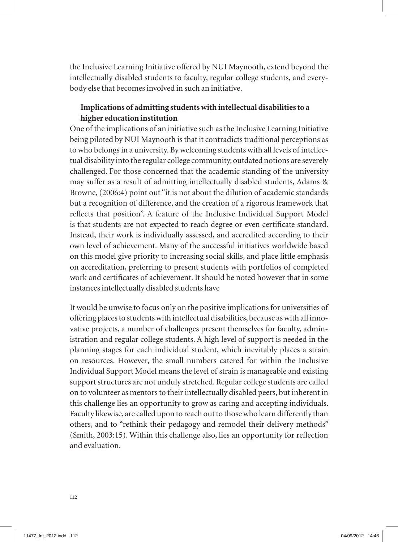the Inclusive Learning Initiative offered by NUI Maynooth, extend beyond the intellectually disabled students to faculty, regular college students, and everybody else that becomes involved in such an initiative.

# **Implications of admitting students with intellectual disabilities to a higher education institution**

One of the implications of an initiative such as the Inclusive Learning Initiative being piloted by NUI Maynooth is that it contradicts traditional perceptions as to who belongs in a university. By welcoming students with all levels of intellectual disability into the regular college community, outdated notions are severely challenged. For those concerned that the academic standing of the university may suffer as a result of admitting intellectually disabled students, Adams & Browne, (2006:4) point out "it is not about the dilution of academic standards but a recognition of difference, and the creation of a rigorous framework that reflects that position". A feature of the Inclusive Individual Support Model is that students are not expected to reach degree or even certificate standard. Instead, their work is individually assessed, and accredited according to their own level of achievement. Many of the successful initiatives worldwide based on this model give priority to increasing social skills, and place little emphasis on accreditation, preferring to present students with portfolios of completed work and certificates of achievement. It should be noted however that in some instances intellectually disabled students have

It would be unwise to focus only on the positive implications for universities of offering places to students with intellectual disabilities, because as with all innovative projects, a number of challenges present themselves for faculty, administration and regular college students. A high level of support is needed in the planning stages for each individual student, which inevitably places a strain on resources. However, the small numbers catered for within the Inclusive Individual Support Model means the level of strain is manageable and existing support structures are not unduly stretched. Regular college students are called on to volunteer as mentors to their intellectually disabled peers, but inherent in this challenge lies an opportunity to grow as caring and accepting individuals. Faculty likewise, are called upon to reach out to those who learn differently than others, and to "rethink their pedagogy and remodel their delivery methods" (Smith, 2003:15). Within this challenge also, lies an opportunity for reflection and evaluation.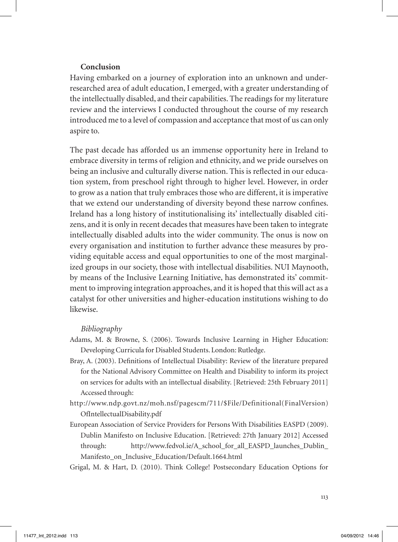### **Conclusion**

Having embarked on a journey of exploration into an unknown and underresearched area of adult education, I emerged, with a greater understanding of the intellectually disabled, and their capabilities. The readings for my literature review and the interviews I conducted throughout the course of my research introduced me to a level of compassion and acceptance that most of us can only aspire to.

The past decade has afforded us an immense opportunity here in Ireland to embrace diversity in terms of religion and ethnicity, and we pride ourselves on being an inclusive and culturally diverse nation. This is reflected in our education system, from preschool right through to higher level. However, in order to grow as a nation that truly embraces those who are different, it is imperative that we extend our understanding of diversity beyond these narrow confines. Ireland has a long history of institutionalising its' intellectually disabled citizens, and it is only in recent decades that measures have been taken to integrate intellectually disabled adults into the wider community. The onus is now on every organisation and institution to further advance these measures by providing equitable access and equal opportunities to one of the most marginalized groups in our society, those with intellectual disabilities. NUI Maynooth, by means of the Inclusive Learning Initiative, has demonstrated its' commitment to improving integration approaches, and it is hoped that this will act as a catalyst for other universities and higher-education institutions wishing to do likewise.

#### *Bibliography*

- Adams, M. & Browne, S. (2006). Towards Inclusive Learning in Higher Education: Developing Curricula for Disabled Students. London: Rutledge.
- Bray, A. (2003). Definitions of Intellectual Disability: Review of the literature prepared for the National Advisory Committee on Health and Disability to inform its project on services for adults with an intellectual disability. [Retrieved: 25th February 2011] Accessed through:
- http://www.ndp.govt.nz/moh.nsf/pagescm/711/\$File/Definitional(FinalVersion) OfIntellectualDisability.pdf
- European Association of Service Providers for Persons With Disabilities EASPD (2009). Dublin Manifesto on Inclusive Education. [Retrieved: 27th January 2012] Accessed through: http://www.fedvol.ie/A\_school\_for\_all\_EASPD\_launches\_Dublin\_ Manifesto\_on\_Inclusive\_Education/Default.1664.html
- Grigal, M. & Hart, D. (2010). Think College! Postsecondary Education Options for